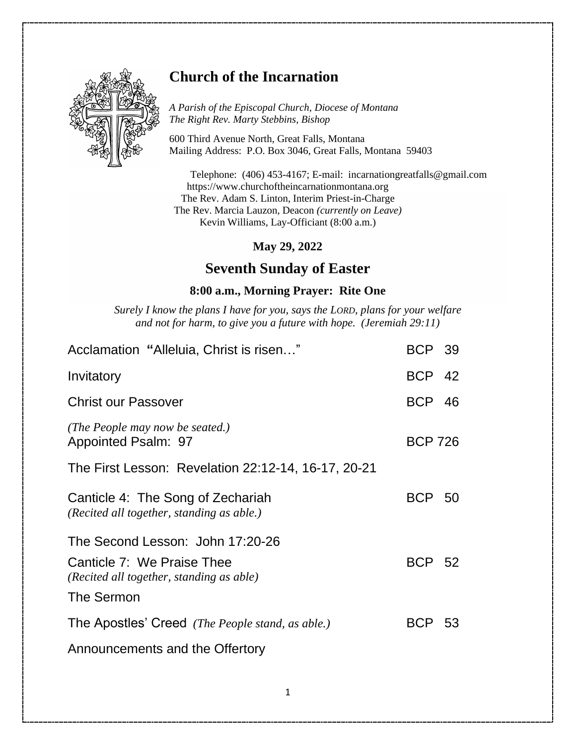

## **Church of the Incarnation**

*A Parish of the Episcopal Church, Diocese of Montana The Right Rev. Marty Stebbins, Bishop*

600 Third Avenue North, Great Falls, Montana Mailing Address: P.O. Box 3046, Great Falls, Montana 59403

Telephone: (406) 453-4167; E-mail: [incarnationgreatfalls@gmail.com](mailto:incarnationgreatfalls@gmail.com) https://www.churchoftheincarnationmontana.org The Rev. Adam S. Linton, Interim Priest-in-Charge The Rev. Marcia Lauzon, Deacon *(currently on Leave)* Kevin Williams, Lay-Officiant (8:00 a.m.)

**May 29, 2022**

## **Seventh Sunday of Easter**

## **8:00 a.m., Morning Prayer: Rite One**

*Surely I know the plans I have for you, says the LORD, plans for your welfare and not for harm, to give you a future with hope. (Jeremiah 29:11)*

| Acclamation "Alleluia, Christ is risen"                                        | <b>BCP 39</b>  |  |
|--------------------------------------------------------------------------------|----------------|--|
| Invitatory                                                                     | <b>BCP 42</b>  |  |
| <b>Christ our Passover</b>                                                     | <b>BCP 46</b>  |  |
| (The People may now be seated.)<br>Appointed Psalm: 97                         | <b>BCP 726</b> |  |
| The First Lesson: Revelation 22:12-14, 16-17, 20-21                            |                |  |
| Canticle 4: The Song of Zechariah<br>(Recited all together, standing as able.) | <b>BCP 50</b>  |  |
| The Second Lesson: John 17:20-26                                               |                |  |
| Canticle 7: We Praise Thee<br>(Recited all together, standing as able)         | <b>BCP 52</b>  |  |
| The Sermon                                                                     |                |  |
| The Apostles' Creed (The People stand, as able.)                               | BCP 53         |  |
| Announcements and the Offertory                                                |                |  |
|                                                                                |                |  |